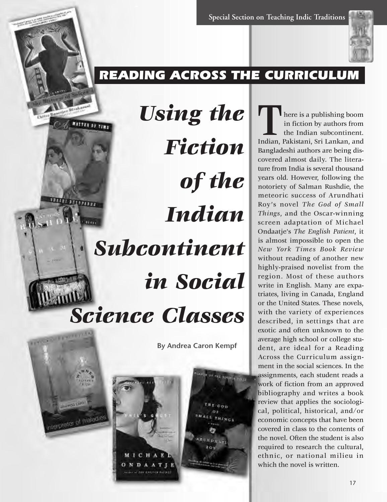

# READING ACROSS THE CURRICULUM

*Using the*  MATTER OF TIME *Fiction of the*  **Little Little** *Indian*   $\overline{\cdots}$ *Subcontinent in Social Science Classes*

**By Andrea Caron Kempf**





Autor: of 200 Kinstnick Kurtch

THE COD o۱ **CL THINGS TEGNS** 

**T** here is a publishing boom<br>
in fiction by authors from<br>
the Indian subcontinent.<br>
Indian, Pakistani, Sri Lankan, and in fiction by authors from the Indian subcontinent. Bangladeshi authors are being discovered almost daily. The literature from India is several thousand years old. However, following the notoriety of Salman Rushdie, the meteoric success of Arundhati Roy's novel *The God of Small Things*, and the Oscar-winning screen adaptation of Michael Ondaatje's *The English Patient*, it is almost impossible to open the *New York Times Book Review* without reading of another new highly-praised novelist from the region. Most of these authors write in English. Many are expatriates, living in Canada, England or the United States. These novels, with the variety of experiences described, in settings that are exotic and often unknown to the average high school or college student, are ideal for a Reading Across the Curriculum assignment in the social sciences. In the assignments, each student reads a work of fiction from an approved bibliography and writes a book review that applies the sociological, political, historical, and/or economic concepts that have been covered in class to the contents of the novel. Often the student is also required to research the cultural, ethnic, or national milieu in which the novel is written.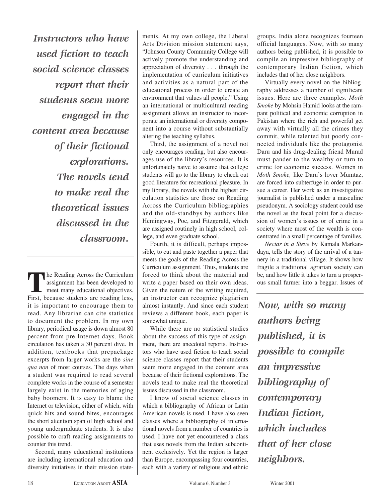*Instructors who have used fiction to teach social science classes report that their students seem more engaged in the content area because of their fictional explorations. The novels tend to make real the theoretical issues discussed in the classroom.* 

The Reading Across the Curriculum assignment has been developed to meet many educational objectives. First, because students are reading less, it is important to encourage them to read. Any librarian can cite statistics to document the problem. In my own library, periodical usage is down almost 80 percent from pre-Internet days. Book circulation has taken a 30 percent dive. In addition, textbooks that prepackage excerpts from larger works are the *sine qua non* of most courses. The days when a student was required to read several complete works in the course of a semester largely exist in the memories of aging baby boomers. It is easy to blame the Internet or television, either of which, with quick hits and sound bites, encourages the short attention span of high school and young undergraduate students. It is also possible to craft reading assignments to counter this trend.

Second, many educational institutions are including international education and diversity initiatives in their mission statements. At my own college, the Liberal Arts Division mission statement says, "Johnson County Community College will actively promote the understanding and appreciation of diversity . . . through the implementation of curriculum initiatives and activities as a natural part of the educational process in order to create an environment that values all people." Using an international or multicultural reading assignment allows an instructor to incorporate an international or diversity component into a course without substantially altering the teaching syllabus.

Third, the assignment of a novel not only encourages reading, but also encourages use of the library's resources. It is unfortunately naive to assume that college students will go to the library to check out good literature for recreational pleasure. In my library, the novels with the highest circulation statistics are those on Reading Across the Curriculum bibliographies and the old-standbys by authors like Hemingway, Poe, and Fitzgerald, which are assigned routinely in high school, college, and even graduate school.

Fourth, it is difficult, perhaps impossible, to cut and paste together a paper that meets the goals of the Reading Across the Curriculum assignment. Thus, students are forced to think about the material and write a paper based on their own ideas. Given the nature of the writing required, an instructor can recognize plagiarism almost instantly. And since each student reviews a different book, each paper is somewhat unique.

While there are no statistical studies about the success of this type of assignment, there are anecdotal reports. Instructors who have used fiction to teach social science classes report that their students seem more engaged in the content area because of their fictional explorations. The novels tend to make real the theoretical issues discussed in the classroom.

I know of social science classes in which a bibliography of African or Latin American novels is used. I have also seen classes where a bibliography of international novels from a number of countries is used. I have not yet encountered a class that uses novels from the Indian subcontinent exclusively. Yet the region is larger than Europe, encompassing four countries, each with a variety of religious and ethnic

groups. India alone recognizes fourteen official languages. Now, with so many authors being published, it is possible to compile an impressive bibliography of contemporary Indian fiction, which includes that of her close neighbors.

Virtually every novel on the bibliography addresses a number of significant issues. Here are three examples. *Moth Smoke* by Mohsin Hamid looks at the rampant political and economic corruption in Pakistan where the rich and powerful get away with virtually all the crimes they commit, while talented but poorly connected individuals like the protagonist Daru and his drug-dealing friend Murad must pander to the wealthy or turn to crime for economic success. Women in *Moth Smoke,* like Daru's lover Mumtaz, are forced into subterfuge in order to pursue a career. Her work as an investigative journalist is published under a masculine pseudonym. A sociology student could use the novel as the focal point for a discussion of women's issues or of crime in a society where most of the wealth is concentrated in a small percentage of families.

*Nectar in a Sieve* by Kamala Markandaya, tells the story of the arrival of a tannery in a traditional village. It shows how fragile a traditional agrarian society can be, and how little it takes to turn a prosperous small farmer into a beggar. Issues of

*Now, with so many authors being published, it is possible to compile an impressive bibliography of contemporary Indian fiction, which includes that of her close neighbors.*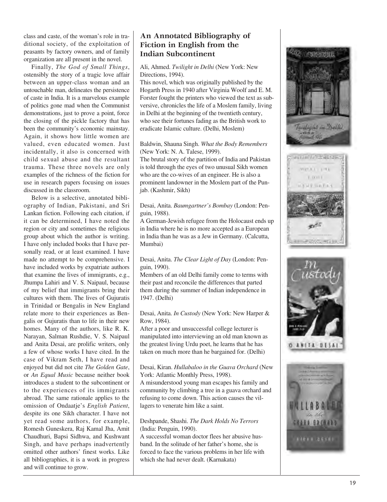class and caste, of the woman's role in traditional society, of the exploitation of peasants by factory owners, and of family organization are all present in the novel.

Finally, *The God of Small Things* , ostensibly the story of a tragic love affair between an upper-class woman and an untouchable man, delineates the persistence of caste in India. It is a marvelous example of politics gone mad when the Communist demonstrations, just to prove a point, force the closing of the pickle factory that has been the community's economic mainstay. Again, it shows how little women are valued, even educated women. Just incidentally, it also is concerned with child sexual abuse and the resultant trauma. These three novels are only examples of the richness of the fiction for use in research papers focusing on issues discussed in the classroom.

Below is a selective, annotated bibliography of Indian, Pakistani, and Sri Lankan fiction. Following each citation, if it can be determined, I have noted the region or city and sometimes the religious group about which the author is writing. I have only included books that I have personally read, or at least examined. I have made no attempt to be comprehensive. I have included works by expatriate authors that examine the lives of immigrants, e.g., Jhumpa Lahiri and V. S. Naipaul, because of my belief that immigrants bring their cultures with them. The lives of Gujuratis in Trinidad or Bengalis in New England relate more to their experiences as Bengalis or Gujuratis than to life in their new homes. Many of the authors, like R. K. Narayan, Salman Rushdie, V. S. Naipaul and Anita Desai, are prolific writers, only a few of whose works I have cited. In the case of Vikram Seth, I have read and enjoyed but did not cite *The Golden Gate* , or *An Equal Music* because neither book introduces a student to the subcontinent or to the experiences of its immigrants abroad. The same rationale applies to the omission of Ondaatje's *English Patient* , despite its one Sikh character. I have not yet read some authors, for example, Romesh Guneskera, Raj Kamal Jha, Amit Chaudhuri, Bapsi Sidhwa, and Kushwant Singh, and have perhaps inadvertently omitted other authors' finest works. Like all bibliographies, it is a work in progress and will continue to grow.

# **An Annotated Bibliography of Fiction in English from the Indian Subcontinent**

Ali, Ahmed. *Twilight in Delhi* (New York: New Directions, 1994).

This novel, which was originally published by the Hogarth Press in 1940 after Virginia Woolf and E. M. Forster fought the printers who viewed the text as subversive, chronicles the life of a Moslem family, living in Delhi at the beginning of the twentieth century, who see their fortunes fading as the British work to eradicate Islamic culture. (Delhi, Moslem)

#### Baldwin, Shauna Singh. *What the Body Remembers* (New York: N. A. Talese, 1999).

The brutal story of the partition of India and Pakistan is told through the eyes of two unusual Sikh women who are the co-wives of an engineer. He is also a prominent landowner in the Moslem part of the Punjab. (Kashmir, Sikh)

#### Desai, Anita. *Baumgartner's Bombay* (London: Penguin, 1988).

A German-Jewish refugee from the Holocaust ends up in India where he is no more accepted as a European in India than he was as a Jew in Germany. (Calcutta, Mumbai)

### Desai, Anita. *The Clear Light of Day* (London: Penguin, 1990).

Members of an old Delhi family come to terms with their past and reconcile the differences that parted them during the summer of Indian independence in 1947. (Delhi)

### Desai, Anita. *In Custody* (New York: New Harper & Row, 1984).

After a poor and unsuccessful college lecturer is manipulated into interviewing an old man known as the greatest living Urdu poet, he learns that he has taken on much more than he bargained for. (Delhi)

#### Desai, Kiran. *Hullabaloo in the Guava Orchard* (New York: Atlantic Monthly Press, 1998).

A misunderstood young man escapes his family and community by climbing a tree in a guava orchard and refusing to come down. This action causes the villagers to venerate him like a saint.

## Deshpande, Shashi. *The Dark Holds No Terrors* (India: Penguin, 1990).

A successful woman doctor flees her abusive husband. In the solitude of her father's home, she is forced to face the various problems in her life with which she had never dealt. (Karnakata)





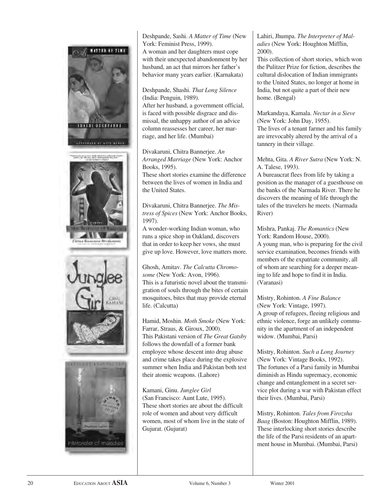

Deshpande, Sashi. *A Matter of Time* (New York: Feminist Press, 1999). A woman and her daughters must cope with their unexpected abandonment by her husband, an act that mirrors her father's behavior many years earlier. (Karnakata)

Deshpande, Shashi. *That Long Silence* (India: Penguin, 1989).

After her husband, a government official, is faced with possible disgrace and dismissal, the unhappy author of an advice column reassesses her career, her marriage, and her life. (Mumbai)

Divakaruni, Chitra Bannerjee. *An Arranged Marriage* (New York: Anchor Books, 1995).

These short stories examine the difference between the lives of women in India and the United States.

Divakaruni, Chitra Bannerjee. *The Mistress of Spices* (New York: Anchor Books, 1997).

A wonder-working Indian woman, who runs a spice shop in Oakland, discovers that in order to keep her vows, she must give up love. However, love matters more.

Ghosh, Amitav. *The Calcutta Chromosome* (New York: Avon, 1996). This is a futuristic novel about the transmigration of souls through the bites of certain mosquitoes, bites that may provide eternal life. (Calcutta)

Hamid, Moshin. *Moth Smoke* (New York: Farrar, Straus, & Giroux, 2000). This Pakistani version of *The Great Gatsby* follows the downfall of a former bank employee whose descent into drug abuse and crime takes place during the explosive summer when India and Pakistan both test their atomic weapons. (Lahore)

Kamani, Ginu. *Junglee Girl* (San Francisco: Aunt Lute, 1995). These short stories are about the difficult role of women and about very difficult women, most of whom live in the state of Gujurat. (Gujurat)

Lahiri, Jhumpa. *The Interpreter of Maladies* (New York: Houghton Mifflin, 2000).

This collection of short stories, which won the Pulitzer Prize for fiction, describes the cultural dislocation of Indian immigrants to the United States, no longer at home in India, but not quite a part of their new home. (Bengal)

Markandaya, Kamala. *Nectar in a Sieve* (New York: John Day, 1955). The lives of a tenant farmer and his family are irrevocably altered by the arrival of a tannery in their village.

Mehta, Gita. *A River Sutra* (New York: N. A. Talese, 1993).

A bureaucrat flees from life by taking a position as the manager of a guesthouse on the banks of the Narmada River. There he discovers the meaning of life through the tales of the travelers he meets. (Narmada River)

Mishra, Pankaj. *The Romantics* (New York: Random House, 2000). A young man, who is preparing for the civil service examination, becomes friends with members of the expatriate community, all of whom are searching for a deeper meaning to life and hope to find it in India. (Varanasi)

Mistry, Rohinton. *A Fine Balance*  (New York: Vintage, 1997). A group of refugees, fleeing religious and ethnic violence, forge an unlikely community in the apartment of an independent widow. (Mumbai, Parsi)

Mistry, Rohinton. *Such a Long Journey* (New York: Vintage Books, 1992). The fortunes of a Parsi family in Mumbai diminish as Hindu supremacy, economic change and entanglement in a secret service plot during a war with Pakistan effect their lives. (Mumbai, Parsi)

Mistry, Rohinton. *Tales from Firozsha Baag* (Boston: Houghton Mifflin, 1989). These interlocking short stories describe the life of the Parsi residents of an apartment house in Mumbai. (Mumbai, Parsi)